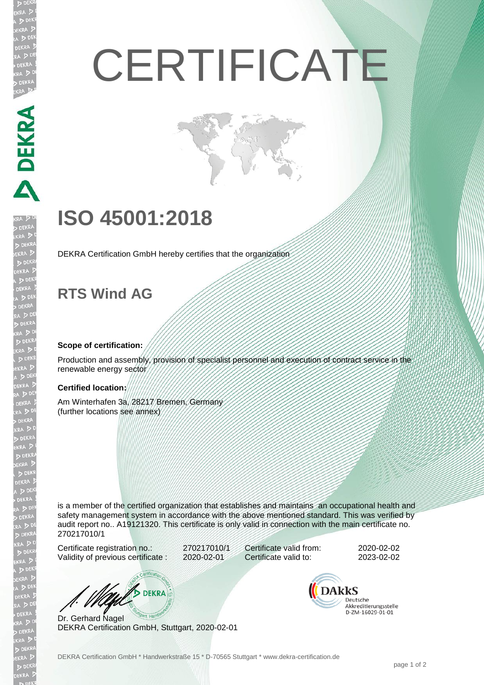# **CERTIFICATE**

## **ISO 45001:2018**

DEKRA Certification GmbH hereby certifies that the organization

### **RTS Wind AG**

**MANERS** 

#### **Scope of certification:**

Production and assembly, provision of specialist personnel and execution of contract service in the renewable energy sector

#### **Certified location:**

Am Winterhafen 3a, 28217 Bremen, Germany (further locations see annex)

is a member of the certified organization that establishes and maintains an occupational health and safety management system in accordance with the above mentioned standard. This was verified by audit report no.. A19121320. This certificate is only valid in connection with the main certificate no. 270217010/1

Certificate registration no.: 270217010/1 Validity of previous certificate : 2020-02-01

Certificate valid from: 2020-02-02 Certificate valid to: 2023-02-02

**DEKRA** 

Dr. Gerhard Nagel DEKRA Certification GmbH, Stuttgart, 2020-02-01